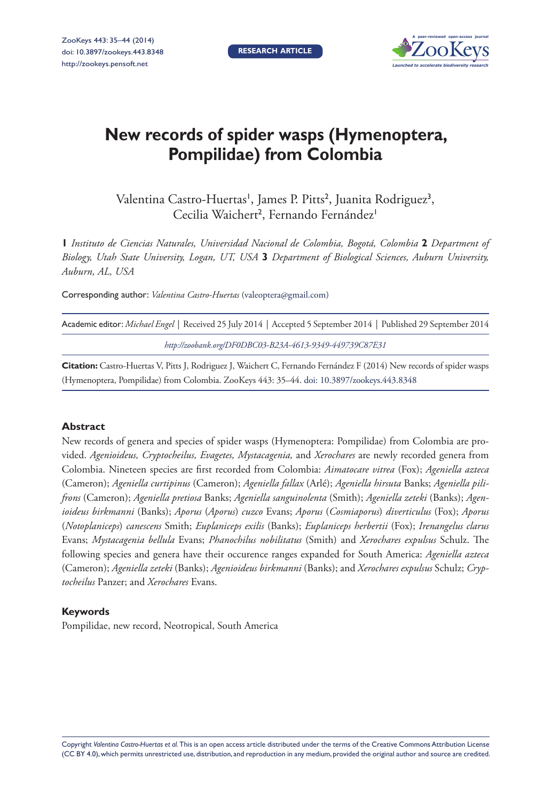

# **New records of spider wasps (Hymenoptera, Pompilidae) from Colombia**

Valentina Castro-Huertas', James P. Pitts<sup>2</sup>, Juanita Rodriguez<sup>3</sup>, Cecilia Waichert<sup>2</sup>, Fernando Fernández<sup>1</sup>

**1** *Instituto de Ciencias Naturales, Universidad Nacional de Colombia, Bogotá, Colombia* **2** *Department of Biology, Utah State University, Logan, UT, USA* **3** *Department of Biological Sciences, Auburn University, Auburn, AL, USA*

Corresponding author: *Valentina Castro-Huertas* ([valeoptera@gmail.com\)](mailto:valeoptera@gmail.com)

| Academic editor: Michael Engel   Received 25 July 2014   Accepted 5 September 2014   Published 29 September 2014 |  |
|------------------------------------------------------------------------------------------------------------------|--|
| http://zoobank.org/DF0DBC03-B23A-4613-9349-449739C87E31                                                          |  |

**Citation:** Castro-Huertas V, Pitts J, Rodriguez J, Waichert C, Fernando Fernández F (2014) New records of spider wasps (Hymenoptera, Pompilidae) from Colombia. ZooKeys 443: 35–44. doi: 10.3897/zookeys.443.8348

#### **Abstract**

New records of genera and species of spider wasps (Hymenoptera: Pompilidae) from Colombia are provided. *Agenioideus, Cryptocheilus, Evagetes, Mystacagenia,* and *Xerochares* are newly recorded genera from Colombia. Nineteen species are first recorded from Colombia: *Aimatocare vitrea* (Fox); *Ageniella azteca*  (Cameron); *Ageniella curtipinus* (Cameron); *Ageniella fallax* (Arlé); *Ageniella hirsuta* Banks; *Ageniella pilifrons* (Cameron); *Ageniella pretiosa* Banks; *Ageniella sanguinolenta* (Smith); *Ageniella zeteki* (Banks); *Agenioideus birkmanni* (Banks); *Aporus* (*Aporus*) *cuzco* Evans; *Aporus* (*Cosmiaporus*) *diverticulus* (Fox); *Aporus*  (*Notoplaniceps*) *canescens* Smith; *Euplaniceps exilis* (Banks); *Euplaniceps herbertii* (Fox); *Irenangelus clarus*  Evans; *Mystacagenia bellula* Evans; *Phanochilus nobilitatus* (Smith) and *Xerochares expulsus* Schulz. The following species and genera have their occurence ranges expanded for South America: *Ageniella azteca*  (Cameron); *Ageniella zeteki* (Banks); *Agenioideus birkmanni* (Banks); and *Xerochares expulsus* Schulz; *Cryptocheilus* Panzer; and *Xerochares* Evans.

#### **Keywords**

Pompilidae, new record, Neotropical, South America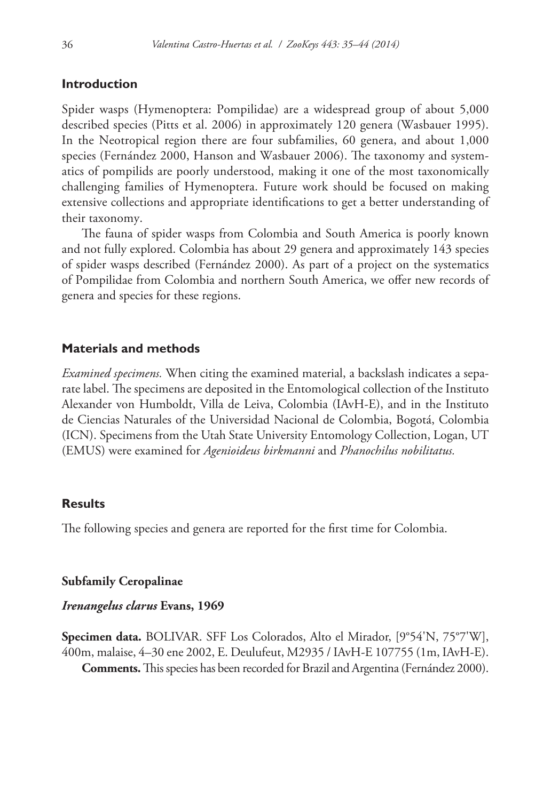# **Introduction**

Spider wasps (Hymenoptera: Pompilidae) are a widespread group of about 5,000 described species (Pitts et al. 2006) in approximately 120 genera (Wasbauer 1995). In the Neotropical region there are four subfamilies, 60 genera, and about 1,000 species (Fernández 2000, Hanson and Wasbauer 2006). The taxonomy and systematics of pompilids are poorly understood, making it one of the most taxonomically challenging families of Hymenoptera. Future work should be focused on making extensive collections and appropriate identifications to get a better understanding of their taxonomy.

The fauna of spider wasps from Colombia and South America is poorly known and not fully explored. Colombia has about 29 genera and approximately 143 species of spider wasps described (Fernández 2000). As part of a project on the systematics of Pompilidae from Colombia and northern South America, we offer new records of genera and species for these regions.

# **Materials and methods**

*Examined specimens.* When citing the examined material, a backslash indicates a separate label. The specimens are deposited in the Entomological collection of the Instituto Alexander von Humboldt, Villa de Leiva, Colombia (IAvH-E), and in the Instituto de Ciencias Naturales of the Universidad Nacional de Colombia, Bogotá, Colombia (ICN). Specimens from the Utah State University Entomology Collection, Logan, UT (EMUS) were examined for *Agenioideus birkmanni* and *Phanochilus nobilitatus.*

## **Results**

The following species and genera are reported for the first time for Colombia.

## **Subfamily Ceropalinae**

## *Irenangelus clarus* **Evans, 1969**

**Specimen data.** BOLIVAR. SFF Los Colorados, Alto el Mirador, [9°54'N, 75°7'W], 400m, malaise, 4–30 ene 2002, E. Deulufeut, M2935 / IAvH-E 107755 (1m, IAvH-E). **Comments.** This species has been recorded for Brazil and Argentina (Fernández 2000).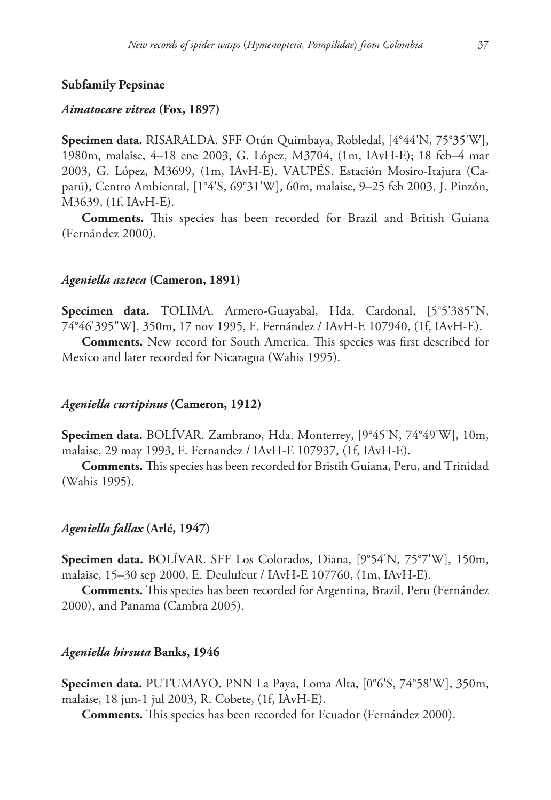## **Subfamily Pepsinae**

## *Aimatocare vitrea* **(Fox, 1897)**

**Specimen data.** RISARALDA. SFF Otún Quimbaya, Robledal, [4°44'N, 75°35'W], 1980m, malaise, 4–18 ene 2003, G. López, M3704, (1m, IAvH-E); 18 feb–4 mar 2003, G. López, M3699, (1m, IAvH-E). VAUPÉS. Estación Mosiro-Itajura (Caparú), Centro Ambiental, [1°4'S, 69°31'W], 60m, malaise, 9–25 feb 2003, J. Pinzón, M3639, (1f, IAvH-E).

**Comments.** This species has been recorded for Brazil and British Guiana (Fernández 2000).

## *Ageniella azteca* **(Cameron, 1891)**

**Specimen data.** TOLIMA. Armero-Guayabal, Hda. Cardonal, [5°5'385"N, 74°46'395"W], 350m, 17 nov 1995, F. Fernández / IAvH-E 107940, (1f, IAvH-E).

**Comments.** New record for South America. This species was first described for Mexico and later recorded for Nicaragua (Wahis 1995).

## *Ageniella curtipinus* **(Cameron, 1912)**

**Specimen data.** BOLÍVAR. Zambrano, Hda. Monterrey, [9°45'N, 74°49'W], 10m, malaise, 29 may 1993, F. Fernandez / IAvH-E 107937, (1f, IAvH-E).

**Comments.** This species has been recorded for Bristih Guiana, Peru, and Trinidad (Wahis 1995).

#### *Ageniella fallax* **(Arlé, 1947)**

**Specimen data.** BOLÍVAR. SFF Los Colorados, Diana, [9°54'N, 75°7'W], 150m, malaise, 15–30 sep 2000, E. Deulufeut / IAvH-E 107760, (1m, IAvH-E).

**Comments.** This species has been recorded for Argentina, Brazil, Peru (Fernández 2000), and Panama (Cambra 2005).

## *Ageniella hirsuta* **Banks, 1946**

**Specimen data.** PUTUMAYO. PNN La Paya, Loma Alta, [0°6'S, 74°58'W], 350m, malaise, 18 jun-1 jul 2003, R. Cobete, (1f, IAvH-E).

**Comments.** This species has been recorded for Ecuador (Fernández 2000).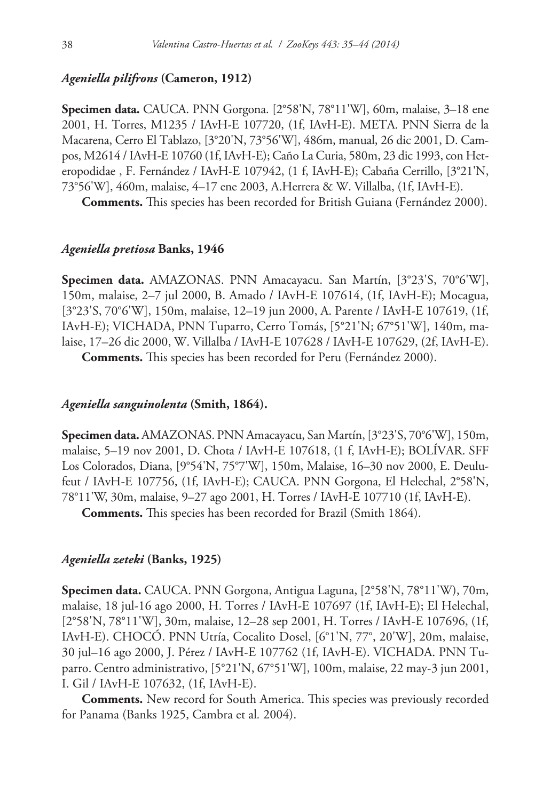## *Ageniella pilifrons* **(Cameron, 1912)**

**Specimen data.** CAUCA. PNN Gorgona. [2°58'N, 78°11'W], 60m, malaise, 3–18 ene 2001, H. Torres, M1235 / IAvH-E 107720, (1f, IAvH-E). META. PNN Sierra de la Macarena, Cerro El Tablazo, [3°20'N, 73°56'W], 486m, manual, 26 dic 2001, D. Campos, M2614 / IAvH-E 10760 (1f, IAvH-E); Caño La Curia, 580m, 23 dic 1993, con Heteropodidae , F. Fernández / IAvH-E 107942, (1 f, IAvH-E); Cabaña Cerrillo, [3°21'N, 73°56'W], 460m, malaise, 4–17 ene 2003, A.Herrera & W. Villalba, (1f, IAvH-E).

**Comments.** This species has been recorded for British Guiana (Fernández 2000).

## *Ageniella pretiosa* **Banks, 1946**

**Specimen data.** AMAZONAS. PNN Amacayacu. San Martín, [3°23'S, 70°6'W], 150m, malaise, 2–7 jul 2000, B. Amado / IAvH-E 107614, (1f, IAvH-E); Mocagua, [3°23'S, 70°6'W], 150m, malaise, 12–19 jun 2000, A. Parente / IAvH-E 107619, (1f, IAvH-E); VICHADA, PNN Tuparro, Cerro Tomás, [5°21'N; 67°51'W], 140m, malaise, 17–26 dic 2000, W. Villalba / IAvH-E 107628 / IAvH-E 107629, (2f, IAvH-E).

**Comments.** This species has been recorded for Peru (Fernández 2000).

## *Ageniella sanguinolenta* **(Smith, 1864).**

**Specimen data.** AMAZONAS. PNN Amacayacu, San Martín, [3°23'S, 70°6'W], 150m, malaise, 5–19 nov 2001, D. Chota / IAvH-E 107618, (1 f, IAvH-E); BOLÍVAR. SFF Los Colorados, Diana, [9°54'N, 75°7'W], 150m, Malaise, 16–30 nov 2000, E. Deulufeut / IAvH-E 107756, (1f, IAvH-E); CAUCA. PNN Gorgona, El Helechal, 2°58'N, 78°11'W, 30m, malaise, 9–27 ago 2001, H. Torres / IAvH-E 107710 (1f, IAvH-E).

**Comments.** This species has been recorded for Brazil (Smith 1864).

## *Ageniella zeteki* **(Banks, 1925)**

**Specimen data.** CAUCA. PNN Gorgona, Antigua Laguna, [2°58'N, 78°11'W), 70m, malaise, 18 jul-16 ago 2000, H. Torres / IAvH-E 107697 (1f, IAvH-E); El Helechal, [2°58'N, 78°11'W], 30m, malaise, 12–28 sep 2001, H. Torres / IAvH-E 107696, (1f, IAvH-E). CHOCÓ. PNN Utría, Cocalito Dosel, [6°1'N, 77°, 20'W], 20m, malaise, 30 jul–16 ago 2000, J. Pérez / IAvH-E 107762 (1f, IAvH-E). VICHADA. PNN Tuparro. Centro administrativo, [5°21'N, 67°51'W], 100m, malaise, 22 may-3 jun 2001, I. Gil / IAvH-E 107632, (1f, IAvH-E).

**Comments.** New record for South America. This species was previously recorded for Panama (Banks 1925, Cambra et al*.* 2004).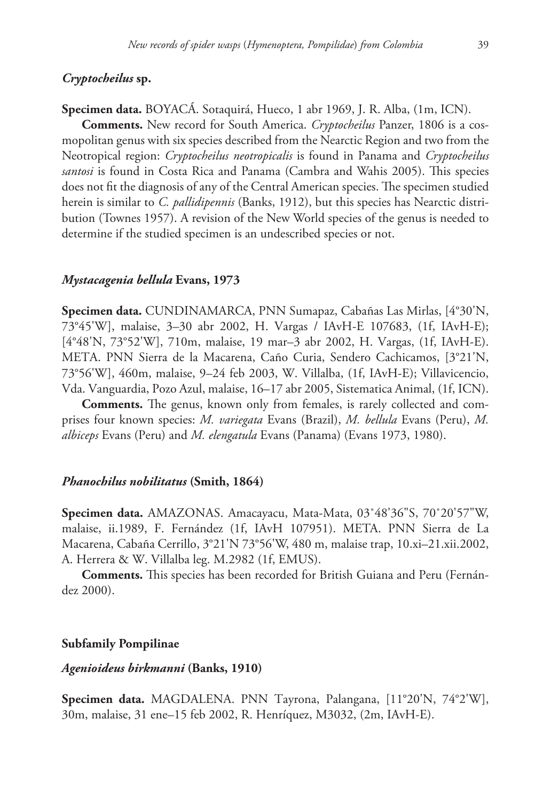# *Cryptocheilus* **sp.**

# **Specimen data.** BOYACÁ. Sotaquirá, Hueco, 1 abr 1969, J. R. Alba, (1m, ICN).

**Comments.** New record for South America. *Cryptocheilus* Panzer, 1806 is a cosmopolitan genus with six species described from the Nearctic Region and two from the Neotropical region: *Cryptocheilus neotropicalis* is found in Panama and *Cryptocheilus santosi* is found in Costa Rica and Panama (Cambra and Wahis 2005). This species does not fit the diagnosis of any of the Central American species. The specimen studied herein is similar to *C. pallidipennis* (Banks, 1912), but this species has Nearctic distribution (Townes 1957). A revision of the New World species of the genus is needed to determine if the studied specimen is an undescribed species or not.

#### *Mystacagenia bellula* **Evans, 1973**

**Specimen data.** CUNDINAMARCA, PNN Sumapaz, Cabañas Las Mirlas, [4°30'N, 73°45'W], malaise, 3–30 abr 2002, H. Vargas / IAvH-E 107683, (1f, IAvH-E); [4°48'N, 73°52'W], 710m, malaise, 19 mar–3 abr 2002, H. Vargas, (1f, IAvH-E). META. PNN Sierra de la Macarena, Caño Curia, Sendero Cachicamos, [3°21'N, 73°56'W], 460m, malaise, 9–24 feb 2003, W. Villalba, (1f, IAvH-E); Villavicencio, Vda. Vanguardia, Pozo Azul, malaise, 16–17 abr 2005, Sistematica Animal, (1f, ICN).

**Comments.** The genus, known only from females, is rarely collected and comprises four known species: *M. variegata* Evans (Brazil), *M. bellula* Evans (Peru), *M. albiceps* Evans (Peru) and *M. elengatula* Evans (Panama) (Evans 1973, 1980).

### *Phanochilus nobilitatus* **(Smith, 1864)**

**Specimen data.** AMAZONAS. Amacayacu, Mata-Mata, 03˚48'36"S, 70˚20'57"W, malaise, ii.1989, F. Fernández (1f, IAvH 107951). META. PNN Sierra de La Macarena, Cabaña Cerrillo, 3°21'N 73°56'W, 480 m, malaise trap, 10.xi–21.xii.2002, A. Herrera & W. Villalba leg. M.2982 (1f, EMUS).

**Comments.** This species has been recorded for British Guiana and Peru (Fernández 2000).

### **Subfamily Pompilinae**

## *Agenioideus birkmanni* **(Banks, 1910)**

**Specimen data.** MAGDALENA. PNN Tayrona, Palangana, [11°20'N, 74°2'W], 30m, malaise, 31 ene–15 feb 2002, R. Henríquez, M3032, (2m, IAvH-E).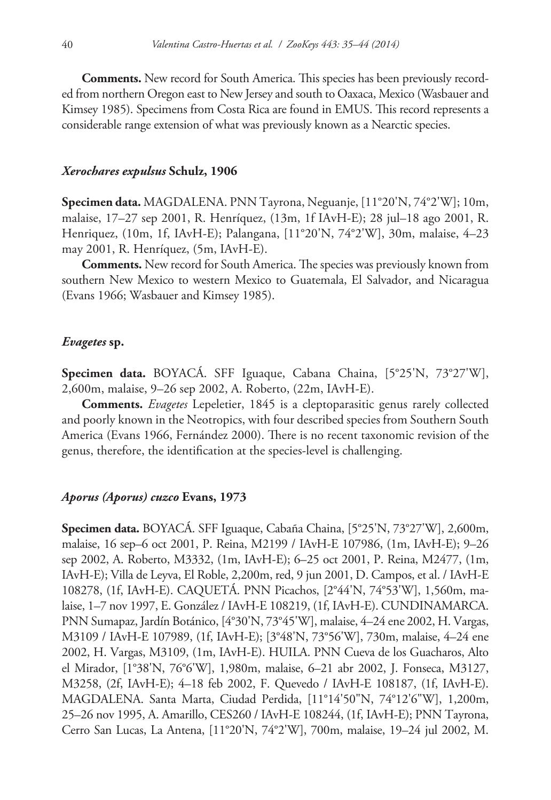**Comments.** New record for South America. This species has been previously recorded from northern Oregon east to New Jersey and south to Oaxaca, Mexico (Wasbauer and Kimsey 1985). Specimens from Costa Rica are found in EMUS. This record represents a considerable range extension of what was previously known as a Nearctic species.

### *Xerochares expulsus* **Schulz, 1906**

**Specimen data.** MAGDALENA. PNN Tayrona, Neguanje, [11°20'N, 74°2'W]; 10m, malaise, 17–27 sep 2001, R. Henríquez, (13m, 1f IAvH-E); 28 jul–18 ago 2001, R. Henriquez, (10m, 1f, IAvH-E); Palangana, [11°20'N, 74°2'W], 30m, malaise, 4–23 may 2001, R. Henríquez, (5m, IAvH-E).

**Comments.** New record for South America. The species was previously known from southern New Mexico to western Mexico to Guatemala, El Salvador, and Nicaragua (Evans 1966; Wasbauer and Kimsey 1985).

#### *Evagetes* **sp.**

**Specimen data.** BOYACÁ. SFF Iguaque, Cabana Chaina, [5°25'N, 73°27'W], 2,600m, malaise, 9–26 sep 2002, A. Roberto, (22m, IAvH-E).

**Comments.** *Evagetes* Lepeletier, 1845 is a cleptoparasitic genus rarely collected and poorly known in the Neotropics, with four described species from Southern South America (Evans 1966, Fernández 2000). There is no recent taxonomic revision of the genus, therefore, the identification at the species-level is challenging.

## *Aporus (Aporus) cuzco* **Evans, 1973**

**Specimen data.** BOYACÁ. SFF Iguaque, Cabaña Chaina, [5°25'N, 73°27'W], 2,600m, malaise, 16 sep–6 oct 2001, P. Reina, M2199 / IAvH-E 107986, (1m, IAvH-E); 9–26 sep 2002, A. Roberto, M3332, (1m, IAvH-E); 6–25 oct 2001, P. Reina, M2477, (1m, IAvH-E); Villa de Leyva, El Roble, 2,200m, red, 9 jun 2001, D. Campos, et al. / IAvH-E 108278, (1f, IAvH-E). CAQUETÁ. PNN Picachos, [2°44'N, 74°53'W], 1,560m, malaise, 1–7 nov 1997, E. González / IAvH-E 108219, (1f, IAvH-E). CUNDINAMARCA. PNN Sumapaz, Jardín Botánico, [4°30'N, 73°45'W], malaise, 4–24 ene 2002, H. Vargas, M3109 / IAvH-E 107989, (1f, IAvH-E); [3°48'N, 73°56'W], 730m, malaise, 4–24 ene 2002, H. Vargas, M3109, (1m, IAvH-E). HUILA. PNN Cueva de los Guacharos, Alto el Mirador, [1°38'N, 76°6'W], 1,980m, malaise, 6–21 abr 2002, J. Fonseca, M3127, M3258, (2f, IAvH-E); 4–18 feb 2002, F. Quevedo / IAvH-E 108187, (1f, IAvH-E). MAGDALENA. Santa Marta, Ciudad Perdida, [11°14'50"N, 74°12'6"W], 1,200m, 25–26 nov 1995, A. Amarillo, CES260 / IAvH-E 108244, (1f, IAvH-E); PNN Tayrona, Cerro San Lucas, La Antena, [11°20'N, 74°2'W], 700m, malaise, 19–24 jul 2002, M.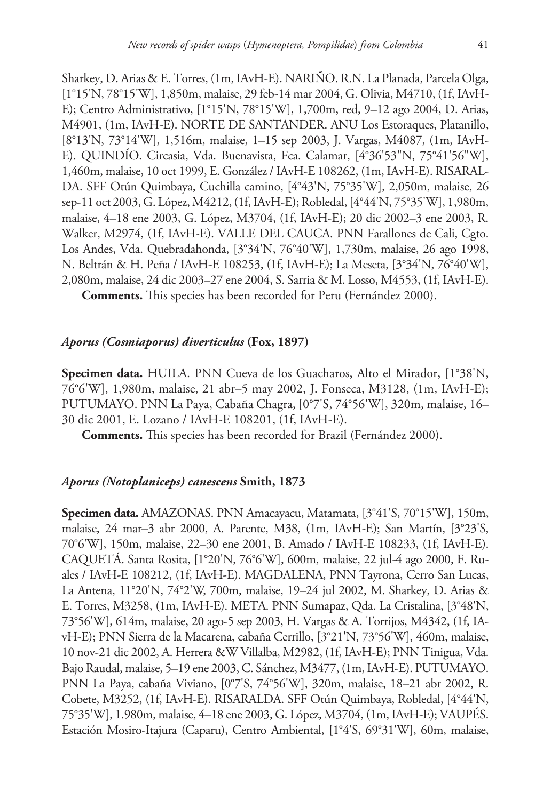Sharkey, D. Arias & E. Torres, (1m, IAvH-E). NARIÑO. R.N. La Planada, Parcela Olga, [1°15'N, 78°15'W], 1,850m, malaise, 29 feb-14 mar 2004, G. Olivia, M4710, (1f, IAvH-E); Centro Administrativo, [1°15'N, 78°15'W], 1,700m, red, 9–12 ago 2004, D. Arias, M4901, (1m, IAvH-E). NORTE DE SANTANDER. ANU Los Estoraques, Platanillo, [8°13'N, 73°14'W], 1,516m, malaise, 1–15 sep 2003, J. Vargas, M4087, (1m, IAvH-E). QUINDÍO. Circasia, Vda. Buenavista, Fca. Calamar, [4°36'53"N, 75°41'56"W], 1,460m, malaise, 10 oct 1999, E. González / IAvH-E 108262, (1m, IAvH-E). RISARAL-DA. SFF Otún Quimbaya, Cuchilla camino, [4°43'N, 75°35'W], 2,050m, malaise, 26 sep-11 oct 2003, G. López, M4212, (1f, IAvH-E); Robledal, [4°44'N, 75°35'W], 1,980m, malaise, 4–18 ene 2003, G. López, M3704, (1f, IAvH-E); 20 dic 2002–3 ene 2003, R. Walker, M2974, (1f, IAvH-E). VALLE DEL CAUCA. PNN Farallones de Cali, Cgto. Los Andes, Vda. Quebradahonda, [3°34'N, 76°40'W], 1,730m, malaise, 26 ago 1998, N. Beltrán & H. Peña / IAvH-E 108253, (1f, IAvH-E); La Meseta, [3°34'N, 76°40'W], 2,080m, malaise, 24 dic 2003–27 ene 2004, S. Sarria & M. Losso, M4553, (1f, IAvH-E).

**Comments.** This species has been recorded for Peru (Fernández 2000).

# *Aporus (Cosmiaporus) diverticulus* **(Fox, 1897)**

**Specimen data.** HUILA. PNN Cueva de los Guacharos, Alto el Mirador, [1°38'N, 76°6'W], 1,980m, malaise, 21 abr–5 may 2002, J. Fonseca, M3128, (1m, IAvH-E); PUTUMAYO. PNN La Paya, Cabaña Chagra, [0°7'S, 74°56'W], 320m, malaise, 16– 30 dic 2001, E. Lozano / IAvH-E 108201, (1f, IAvH-E).

**Comments.** This species has been recorded for Brazil (Fernández 2000).

## *Aporus (Notoplaniceps) canescens* **Smith, 1873**

**Specimen data.** AMAZONAS. PNN Amacayacu, Matamata, [3°41'S, 70°15'W], 150m, malaise, 24 mar–3 abr 2000, A. Parente, M38, (1m, IAvH-E); San Martín, [3°23'S, 70°6'W], 150m, malaise, 22–30 ene 2001, B. Amado / IAvH-E 108233, (1f, IAvH-E). CAQUETÁ. Santa Rosita, [1°20'N, 76°6'W], 600m, malaise, 22 jul-4 ago 2000, F. Ruales / IAvH-E 108212, (1f, IAvH-E). MAGDALENA, PNN Tayrona, Cerro San Lucas, La Antena, 11°20'N, 74°2'W, 700m, malaise, 19–24 jul 2002, M. Sharkey, D. Arias & E. Torres, M3258, (1m, IAvH-E). META. PNN Sumapaz, Qda. La Cristalina, [3°48'N, 73°56'W], 614m, malaise, 20 ago-5 sep 2003, H. Vargas & A. Torrijos, M4342, (1f, IAvH-E); PNN Sierra de la Macarena, cabaña Cerrillo, [3°21'N, 73°56'W], 460m, malaise, 10 nov-21 dic 2002, A. Herrera &W Villalba, M2982, (1f, IAvH-E); PNN Tinigua, Vda. Bajo Raudal, malaise, 5–19 ene 2003, C. Sánchez, M3477, (1m, IAvH-E). PUTUMAYO. PNN La Paya, cabaña Viviano, [0°7'S, 74°56'W], 320m, malaise, 18–21 abr 2002, R. Cobete, M3252, (1f, IAvH-E). RISARALDA. SFF Otún Quimbaya, Robledal, [4°44'N, 75°35'W], 1.980m, malaise, 4–18 ene 2003, G. López, M3704, (1m, IAvH-E); VAUPÉS. Estación Mosiro-Itajura (Caparu), Centro Ambiental, [1°4'S, 69°31'W], 60m, malaise,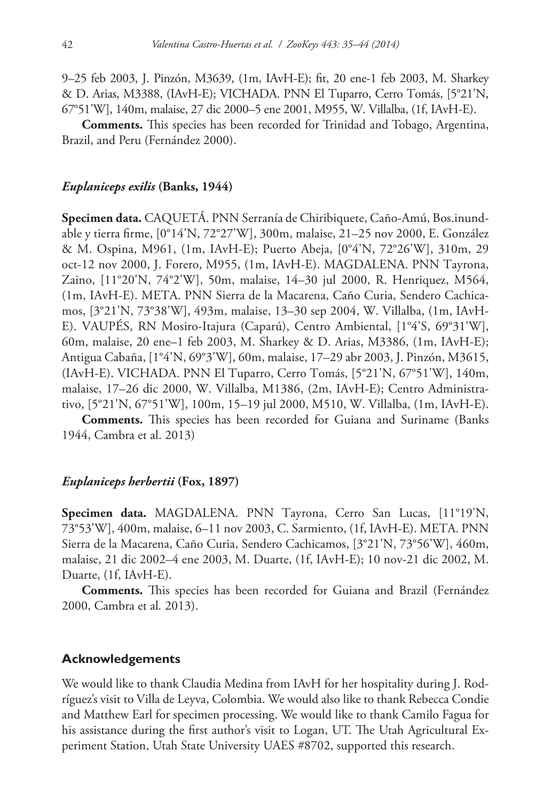9–25 feb 2003, J. Pinzón, M3639, (1m, IAvH-E); fit, 20 ene-1 feb 2003, M. Sharkey & D. Arias, M3388, (IAvH-E); VICHADA. PNN El Tuparro, Cerro Tomás, [5°21'N, 67°51'W], 140m, malaise, 27 dic 2000–5 ene 2001, M955, W. Villalba, (1f, IAvH-E).

**Comments.** This species has been recorded for Trinidad and Tobago, Argentina, Brazil, and Peru (Fernández 2000).

## *Euplaniceps exilis* **(Banks, 1944)**

**Specimen data.** CAQUETÁ. PNN Serranía de Chiribiquete, Caño-Amú, Bos.inundable y tierra firme, [0°14'N, 72°27'W], 300m, malaise, 21–25 nov 2000, E. González & M. Ospina, M961, (1m, IAvH-E); Puerto Abeja, [0°4'N, 72°26'W], 310m, 29 oct-12 nov 2000, J. Forero, M955, (1m, IAvH-E). MAGDALENA. PNN Tayrona, Zaino, [11°20'N, 74°2'W], 50m, malaise, 14–30 jul 2000, R. Henriquez, M564, (1m, IAvH-E). META. PNN Sierra de la Macarena, Caño Curia, Sendero Cachicamos, [3°21'N, 73°38'W], 493m, malaise, 13–30 sep 2004, W. Villalba, (1m, IAvH-E). VAUPÉS, RN Mosiro-Itajura (Caparú), Centro Ambiental, [1°4'S, 69°31'W], 60m, malaise, 20 ene–1 feb 2003, M. Sharkey & D. Arias, M3386, (1m, IAvH-E); Antigua Cabaña, [1°4'N, 69°3'W], 60m, malaise, 17–29 abr 2003, J. Pinzón, M3615, (IAvH-E). VICHADA. PNN El Tuparro, Cerro Tomás, [5°21'N, 67°51'W], 140m, malaise, 17–26 dic 2000, W. Villalba, M1386, (2m, IAvH-E); Centro Administrativo, [5°21'N, 67°51'W], 100m, 15–19 jul 2000, M510, W. Villalba, (1m, IAvH-E).

**Comments.** This species has been recorded for Guiana and Suriname (Banks 1944, Cambra et al. 2013)

# *Euplaniceps herbertii* **(Fox, 1897)**

**Specimen data.** MAGDALENA. PNN Tayrona, Cerro San Lucas, [11°19'N, 73°53'W], 400m, malaise, 6–11 nov 2003, C. Sarmiento, (1f, IAvH-E). META. PNN Sierra de la Macarena, Caño Curia, Sendero Cachicamos, [3°21'N, 73°56'W], 460m, malaise, 21 dic 2002–4 ene 2003, M. Duarte, (1f, IAvH-E); 10 nov-21 dic 2002, M. Duarte, (1f, IAvH-E).

**Comments.** This species has been recorded for Guiana and Brazil (Fernández 2000, Cambra et al*.* 2013).

#### **Acknowledgements**

We would like to thank Claudia Medina from IAvH for her hospitality during J. Rodríguez's visit to Villa de Leyva, Colombia. We would also like to thank Rebecca Condie and Matthew Earl for specimen processing. We would like to thank Camilo Fagua for his assistance during the first author's visit to Logan, UT. The Utah Agricultural Experiment Station, Utah State University UAES #8702, supported this research.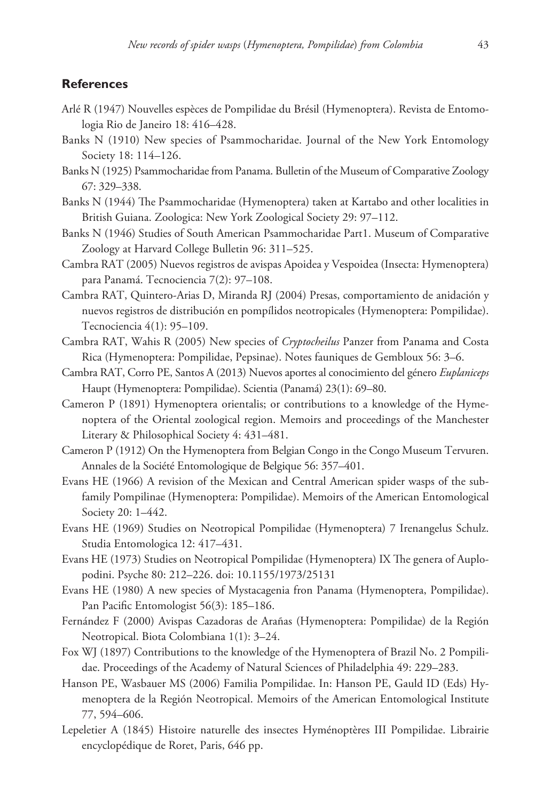# **References**

- Arlé R (1947) Nouvelles espèces de Pompilidae du Brésil (Hymenoptera). Revista de Entomologia Rio de Janeiro 18: 416–428.
- Banks N (1910) New species of Psammocharidae. Journal of the New York Entomology Society 18: 114–126.
- Banks N (1925) Psammocharidae from Panama. Bulletin of the Museum of Comparative Zoology 67: 329–338.
- Banks N (1944) The Psammocharidae (Hymenoptera) taken at Kartabo and other localities in British Guiana. Zoologica: New York Zoological Society 29: 97–112.
- Banks N (1946) Studies of South American Psammocharidae Part1. Museum of Comparative Zoology at Harvard College Bulletin 96: 311–525.
- Cambra RAT (2005) Nuevos registros de avispas Apoidea y Vespoidea (Insecta: Hymenoptera) para Panamá. Tecnociencia 7(2): 97–108.
- Cambra RAT, Quintero-Arias D, Miranda RJ (2004) Presas, comportamiento de anidación y nuevos registros de distribución en pompílidos neotropicales (Hymenoptera: Pompilidae). Tecnociencia 4(1): 95–109.
- Cambra RAT, Wahis R (2005) New species of *Cryptocheilus* Panzer from Panama and Costa Rica (Hymenoptera: Pompilidae, Pepsinae). Notes fauniques de Gembloux 56: 3–6.
- Cambra RAT, Corro PE, Santos A (2013) Nuevos aportes al conocimiento del género *Euplaniceps* Haupt (Hymenoptera: Pompilidae). Scientia (Panamá) 23(1): 69–80.
- Cameron P (1891) Hymenoptera orientalis; or contributions to a knowledge of the Hymenoptera of the Oriental zoological region. Memoirs and proceedings of the Manchester Literary & Philosophical Society 4: 431–481.
- Cameron P (1912) On the Hymenoptera from Belgian Congo in the Congo Museum Tervuren. Annales de la Société Entomologique de Belgique 56: 357–401.
- Evans HE (1966) A revision of the Mexican and Central American spider wasps of the subfamily Pompilinae (Hymenoptera: Pompilidae). Memoirs of the American Entomological Society 20: 1–442.
- Evans HE (1969) Studies on Neotropical Pompilidae (Hymenoptera) 7 Irenangelus Schulz. Studia Entomologica 12: 417–431.
- Evans HE (1973) Studies on Neotropical Pompilidae (Hymenoptera) IX The genera of Auplopodini. Psyche 80: 212–226. [doi: 10.1155/1973/25131](http://dx.doi.org/10.1155/1973/25131)
- Evans HE (1980) A new species of Mystacagenia fron Panama (Hymenoptera, Pompilidae). Pan Pacific Entomologist 56(3): 185–186.
- Fernández F (2000) Avispas Cazadoras de Arañas (Hymenoptera: Pompilidae) de la Región Neotropical. Biota Colombiana 1(1): 3–24.
- Fox WJ (1897) Contributions to the knowledge of the Hymenoptera of Brazil No. 2 Pompilidae. Proceedings of the Academy of Natural Sciences of Philadelphia 49: 229–283.
- Hanson PE, Wasbauer MS (2006) Familia Pompilidae. In: Hanson PE, Gauld ID (Eds) Hymenoptera de la Región Neotropical. Memoirs of the American Entomological Institute 77, 594–606.
- Lepeletier A (1845) Histoire naturelle des insectes Hyménoptères III Pompilidae. Librairie encyclopédique de Roret, Paris, 646 pp.